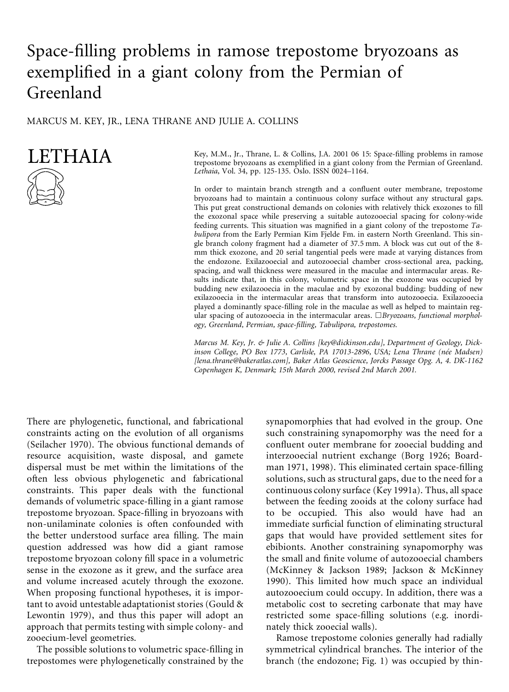# Space-filling problems in ramose trepostome bryozoans as exemplified in a giant colony from the Permian of Greenland

#### MARCUS M. KEY, JR., LENA THRANE AND JULIE A. COLLINS

## **LETHAIA**



Key, M.M., Jr., Thrane, L. & Collins, J.A. 2001 06 15: Space-filling problems in ramose trepostome bryozoans as exemplified in a giant colony from the Permian of Greenland. *Lethaia*, Vol. 34, pp. 125-135. Oslo. ISSN 0024–1164.

In order to maintain branch strength and a confluent outer membrane, trepostome bryozoans had to maintain a continuous colony surface without any structural gaps. This put great constructional demands on colonies with relatively thick exozones to fill the exozonal space while preserving a suitable autozooecial spacing for colony-wide feeding currents. This situation was magnified in a giant colony of the trepostome Ta*bulipora* from the Early Permian Kim Fjelde Fm. in eastern North Greenland. This single branch colony fragment had a diameter of 37.5 mm. A block was cut out of the 8 mm thick exozone, and 20 serial tangential peels were made at varying distances from the endozone. Exilazooecial and autozooecial chamber cross-sectional area, packing, spacing, and wall thickness were measured in the maculae and intermacular areas. Results indicate that, in this colony, volumetric space in the exozone was occupied by budding new exilazooecia in the maculae and by exozonal budding: budding of new exilazooecia in the intermacular areas that transform into autozooecia. Exilazooecia played a dominantly space- lling role in the maculae as well as helped to maintain regular spacing of autozooecia in the intermacular areas. &*Bryozoans, functional morphology, Greenland, Permian, space- lling, Tabulipora, trepostomes.*

*Marcus M. Key, Jr. & Julie A. Collins [key@dickinson.edu], Department of Geology, Dickinson College, PO Box 1773, Carlisle, PA 17013-2896, USA; Lena Thrane (ne´e Madsen) [lena.thrane@bakeratlas.com], Baker Atlas Geoscience, Jorcks Passage Opg. A, 4. DK-1162 Copenhagen K, Denmark; 15th March 2000, revised 2nd March 2001.*

There are phylogenetic, functional, and fabricational constraints acting on the evolution of all organisms (Seilacher 1970). The obvious functional demands of resource acquisition, waste disposal, and gamete dispersal must be met within the limitations of the often less obvious phylogenetic and fabricational constraints. This paper deals with the functional demands of volumetric space-filling in a giant ramose trepostome bryozoan. Space-filling in bryozoans with non-unilaminate colonies is often confounded with the better understood surface area filling. The main question addressed was how did a giant ramose trepostome bryozoan colony fill space in a volumetric sense in the exozone as it grew, and the surface area and volume increased acutely through the exozone. When proposing functional hypotheses, it is important to avoid untestable adaptationist stories (Gould & Lewontin 1979), and thus this paper will adopt an approach that permits testing with simple colony- and zooecium-level geometries.

The possible solutions to volumetric space-filling in trepostomes were phylogenetically constrained by the

synapomorphies that had evolved in the group. One such constraining synapomorphy was the need for a confluent outer membrane for zooecial budding and interzooecial nutrient exchange (Borg 1926; Boardman 1971, 1998). This eliminated certain space-filling solutions, such as structural gaps, due to the need for a continuous colony surface (Key 1991a). Thus, all space between the feeding zooids at the colony surface had to be occupied. This also would have had an immediate surficial function of eliminating structural gaps that would have provided settlement sites for ebibionts. Another constraining synapomorphy was the small and finite volume of autozooecial chambers (McKinney & Jackson 1989; Jackson & McKinney 1990). This limited how much space an individual autozooecium could occupy. In addition, there was a metabolic cost to secreting carbonate that may have restricted some space-filling solutions (e.g. inordinately thick zooecial walls).

Ramose trepostome colonies generally had radially symmetrical cylindrical branches. The interior of the branch (the endozone; Fig. 1) was occupied by thin-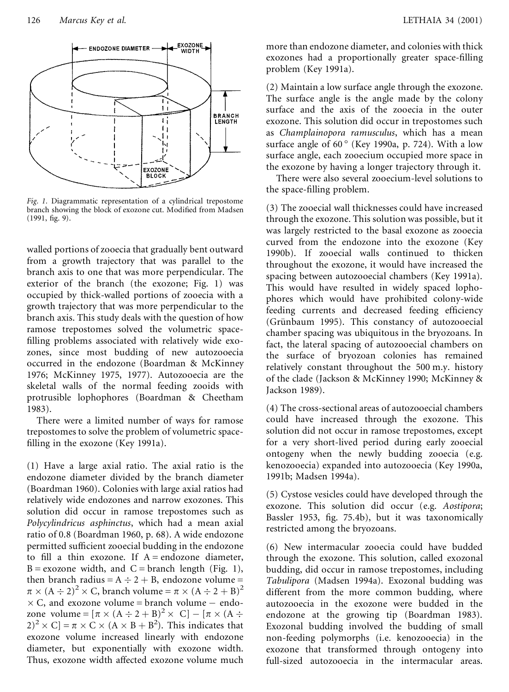

*Fig. 1.* Diagrammatic representation of a cylindrical trepostome branch showing the block of exozone cut. Modified from Madsen  $(1991, fig. 9).$ 

walled portions of zooecia that gradually bent outward from a growth trajectory that was parallel to the branch axis to one that was more perpendicular. The exterior of the branch (the exozone; Fig. 1) was occupied by thick-walled portions of zooecia with a growth trajectory that was more perpendicular to the branch axis. This study deals with the question of how ramose trepostomes solved the volumetric space filling problems associated with relatively wide exozones, since most budding of new autozooecia occurred in the endozone (Boardman & McKinney 1976; McKinney 1975, 1977). Autozooecia are the skeletal walls of the normal feeding zooids with protrusible lophophores (Boardman & Cheetham 1983).

There were a limited number of ways for ramose trepostomes to solve the problem of volumetric space filling in the exozone (Key 1991a).

(1) Have a large axial ratio. The axial ratio is the endozone diameter divided by the branch diameter (Boardman 1960). Colonies with large axial ratios had relatively wide endozones and narrow exozones. This solution did occur in ramose trepostomes such as *Polycylindricus asphinctus*, which had a mean axial ratio of 0.8 (Boardman 1960, p. 68). A wide endozone permitted sufficient zooecial budding in the endozone to fill a thin exozone. If  $A = endozone$  diameter,  $B = exozone$  width, and  $C = branch$  length (Fig. 1), then branch radius =  $A \div 2 + B$ , endozone volume =  $\pi \times (A \div 2)^2 \times C$ , branch volume =  $\pi \times (A \div 2 + B)^2$  $\times$  C, and exozone volume = branch volume – endozone volume =  $[\pi \times (A \div 2 + B)^2 \times C] - [\pi \times (A \div$  $(2)^2 \times C$  =  $\pi \times C \times (A \times B + B^2)$ . This indicates that exozone volume increased linearly with endozone diameter, but exponentially with exozone width. Thus, exozone width affected exozone volume much

more than endozone diameter, and colonies with thick exozones had a proportionally greater space-filling problem (Key 1991a).

(2) Maintain a low surface angle through the exozone. The surface angle is the angle made by the colony surface and the axis of the zooecia in the outer exozone. This solution did occur in trepostomes such as *Champlainopora ramusculus*, which has a mean surface angle of  $60^{\circ}$  (Key 1990a, p. 724). With a low surface angle, each zooecium occupied more space in the exozone by having a longer trajectory through it.

There were also several zooecium-level solutions to the space-filling problem.

(3) The zooecial wall thicknesses could have increased through the exozone. This solution was possible, but it was largely restricted to the basal exozone as zooecia curved from the endozone into the exozone (Key 1990b). If zooecial walls continued to thicken throughout the exozone, it would have increased the spacing between autozooecial chambers (Key 1991a). This would have resulted in widely spaced lophophores which would have prohibited colony-wide feeding currents and decreased feeding efficiency (Grünbaum 1995). This constancy of autozooecial chamber spacing was ubiquitous in the bryozoans. In fact, the lateral spacing of autozooecial chambers on the surface of bryozoan colonies has remained relatively constant throughout the 500 m.y. history of the clade (Jackson & McKinney 1990; McKinney & Jackson 1989).

(4) The cross-sectional areas of autozooecial chambers could have increased through the exozone. This solution did not occur in ramose trepostomes, except for a very short-lived period during early zooecial ontogeny when the newly budding zooecia (e.g. kenozooecia) expanded into autozooecia (Key 1990a, 1991b; Madsen 1994a).

(5) Cystose vesicles could have developed through the exozone. This solution did occur (e.g. *Aostipora*; Bassler 1953, fig. 75.4b), but it was taxonomically restricted among the bryozoans.

(6) New intermacular zooecia could have budded through the exozone. This solution, called exozonal budding, did occur in ramose trepostomes, including *Tabulipora* (Madsen 1994a). Exozonal budding was different from the more common budding, where autozooecia in the exozone were budded in the endozone at the growing tip (Boardman 1983). Exozonal budding involved the budding of small non-feeding polymorphs (i.e. kenozooecia) in the exozone that transformed through ontogeny into full-sized autozooecia in the intermacular areas.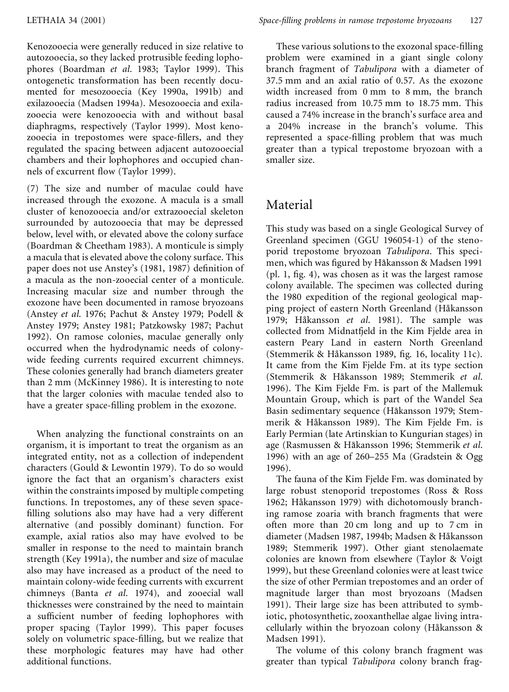Kenozooecia were generally reduced in size relative to autozooecia, so they lacked protrusible feeding lophophores (Boardman *et al*. 1983; Taylor 1999). This ontogenetic transformation has been recently documented for mesozooecia (Key 1990a, 1991b) and exilazooecia (Madsen 1994a). Mesozooecia and exilazooecia were kenozooecia with and without basal diaphragms, respectively (Taylor 1999). Most kenozooecia in trepostomes were space-fillers, and they regulated the spacing between adjacent autozooecial chambers and their lophophores and occupied channels of excurrent flow (Taylor 1999).

(7) The size and number of maculae could have increased through the exozone. A macula is a small cluster of kenozooecia and/or extrazooecial skeleton surrounded by autozooecia that may be depressed below, level with, or elevated above the colony surface (Boardman & Cheetham 1983). A monticule is simply a macula that is elevated above the colony surface. This paper does not use Anstey's (1981, 1987) definition of a macula as the non-zooecial center of a monticule. Increasing macular size and number through the exozone have been documented in ramose bryozoans (Anstey *et al*. 1976; Pachut & Anstey 1979; Podell & Anstey 1979; Anstey 1981; Patzkowsky 1987; Pachut 1992). On ramose colonies, maculae generally only occurred when the hydrodynamic needs of colonywide feeding currents required excurrent chimneys. These colonies generally had branch diameters greater than 2 mm (McKinney 1986). It is interesting to note that the larger colonies with maculae tended also to have a greater space-filling problem in the exozone.

When analyzing the functional constraints on an organism, it is important to treat the organism as an integrated entity, not as a collection of independent characters (Gould & Lewontin 1979). To do so would ignore the fact that an organism's characters exist within the constraints imposed by multiple competing functions. In trepostomes, any of these seven space filling solutions also may have had a very different alternative (and possibly dominant) function. For example, axial ratios also may have evolved to be smaller in response to the need to maintain branch strength (Key 1991a), the number and size of maculae also may have increased as a product of the need to maintain colony-wide feeding currents with excurrent chimneys (Banta *et al*. 1974), and zooecial wall thicknesses were constrained by the need to maintain a sufficient number of feeding lophophores with proper spacing (Taylor 1999). This paper focuses solely on volumetric space-filling, but we realize that these morphologic features may have had other additional functions.

These various solutions to the exozonal space-filling problem were examined in a giant single colony branch fragment of *Tabulipora* with a diameter of 37.5 mm and an axial ratio of 0.57. As the exozone width increased from 0 mm to 8 mm, the branch radius increased from 10.75 mm to 18.75 mm. This caused a 74% increase in the branch's surface area and a 204% increase in the branch's volume. This represented a space-filling problem that was much greater than a typical trepostome bryozoan with a smaller size.

### Material

This study was based on a single Geological Survey of Greenland specimen (GGU 196054-1) of the stenoporid trepostome bryozoan *Tabulipora*. This specimen, which was figured by Håkansson & Madsen 1991  $(pl. 1, fig. 4)$ , was chosen as it was the largest ramose colony available. The specimen was collected during the 1980 expedition of the regional geological mapping project of eastern North Greenland (Håkansson 1979; Håkansson et al. 1981). The sample was collected from Midnatfjeld in the Kim Fjelde area in eastern Peary Land in eastern North Greenland (Stemmerik & Håkansson 1989, fig. 16, locality 11c). It came from the Kim Fjelde Fm. at its type section (Stemmerik & Håkansson 1989; Stemmerik et al. 1996). The Kim Fjelde Fm. is part of the Mallemuk Mountain Group, which is part of the Wandel Sea Basin sedimentary sequence (Håkansson 1979; Stemmerik & Håkansson 1989). The Kim Fjelde Fm. is Early Permian (late Artinskian to Kungurian stages) in age (Rasmussen & Ha°kansson 1996; Stemmerik *et al*. 1996) with an age of 260–255 Ma (Gradstein & Ogg 1996).

The fauna of the Kim Fjelde Fm. was dominated by large robust stenoporid trepostomes (Ross & Ross 1962; Håkansson 1979) with dichotomously branching ramose zoaria with branch fragments that were often more than 20 cm long and up to 7 cm in diameter (Madsen 1987, 1994b; Madsen & Håkansson 1989; Stemmerik 1997). Other giant stenolaemate colonies are known from elsewhere (Taylor & Voigt 1999), but these Greenland colonies were at least twice the size of other Permian trepostomes and an order of magnitude larger than most bryozoans (Madsen 1991). Their large size has been attributed to symbiotic, photosynthetic, zooxanthellae algae living intracellularly within the bryozoan colony (Håkansson & Madsen 1991).

The volume of this colony branch fragment was greater than typical *Tabulipora* colony branch frag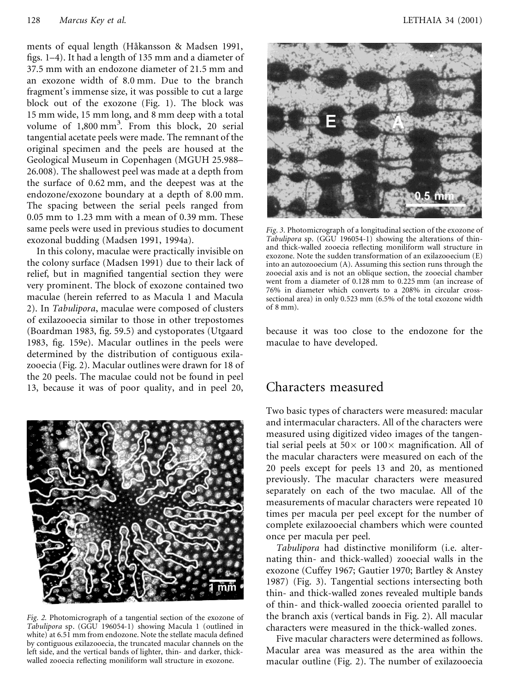ments of equal length (Håkansson & Madsen 1991, figs. 1–4). It had a length of 135 mm and a diameter of 37.5 mm with an endozone diameter of 21.5 mm and an exozone width of 8.0 mm. Due to the branch fragment's immense size, it was possible to cut a large block out of the exozone (Fig. 1). The block was 15 mm wide, 15 mm long, and 8 mm deep with a total volume of 1,800 mm 3 . From this block, 20 serial tangential acetate peels were made. The remnant of the original specimen and the peels are housed at the Geological Museum in Copenhagen (MGUH 25.988– 26.008). The shallowest peel was made at a depth from the surface of 0.62 mm, and the deepest was at the endozone/exozone boundary at a depth of 8.00 mm. The spacing between the serial peels ranged from 0.05 mm to 1.23 mm with a mean of 0.39 mm. These same peels were used in previous studies to document exozonal budding (Madsen 1991, 1994a).

In this colony, maculae were practically invisible on the colony surface (Madsen 1991) due to their lack of relief, but in magnified tangential section they were very prominent. The block of exozone contained two maculae (herein referred to as Macula 1 and Macula 2). In *Tabulipora*, maculae were composed of clusters of exilazooecia similar to those in other trepostomes (Boardman 1983, fig. 59.5) and cystoporates (Utgaard 1983, fig. 159e). Macular outlines in the peels were determined by the distribution of contiguous exilazooecia (Fig. 2). Macular outlineswere drawn for 18 of the 20 peels. The maculae could not be found in peel 13, because it was of poor quality, and in peel 20,



*Fig. 2.* Photomicrograph of a tangential section of the exozone of *Tabulipora* sp. (GGU 196054-1) showing Macula 1 (outlined in white) at 6.51 mm from endozone. Note the stellate macula defined by contiguous exilazooecia, the truncated macular channels on the left side, and the vertical bands of lighter, thin- and darker, thickwalled zooecia reflecting moniliform wall structure in exozone.



*Fig. 3.* Photomicrograph of a longitudinal section of the exozone of *Tabulipora* sp. (GGU 196054-1) showing the alterations of thinand thick-walled zooecia reflecting moniliform wall structure in exozone. Note the sudden transformation of an exilazooecium (E) into an autozooecium (A). Assuming this section runs through the zooecial axis and is not an oblique section, the zooecial chamber went from a diameter of 0.128 mm to 0.225 mm (an increase of 76% in diameter which converts to a 208% in circular crosssectional area) in only 0.523 mm (6.5% of the total exozone width of 8 mm).

because it was too close to the endozone for the maculae to have developed.

#### Characters measured

Two basic types of characters were measured: macular and intermacular characters. All of the characters were measured using digitized video images of the tangential serial peels at  $50 \times$  or  $100 \times$  magnification. All of the macular characters were measured on each of the 20 peels except for peels 13 and 20, as mentioned previously. The macular characters were measured separately on each of the two maculae. All of the measurements of macular characters were repeated 10 times per macula per peel except for the number of complete exilazooecial chambers which were counted once per macula per peel.

*Tabulipora* had distinctive moniliform (i.e. alternating thin- and thick-walled) zooecial walls in the exozone (Cuffey 1967; Gautier 1970; Bartley & Anstey 1987) (Fig. 3). Tangential sections intersecting both thin- and thick-walled zones revealed multiple bands of thin- and thick-walled zooecia oriented parallel to the branch axis (vertical bands in Fig. 2). All macular characters were measured in the thick-walled zones.

Five macular characters were determined as follows. Macular area was measured as the area within the macular outline (Fig. 2). The number of exilazooecia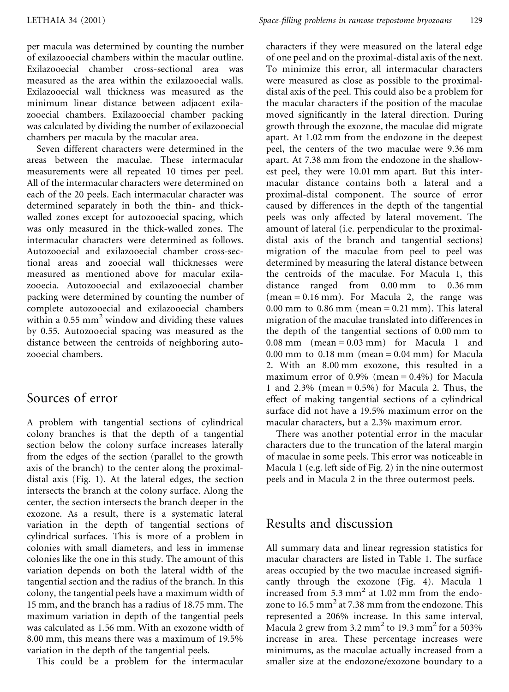per macula was determined by counting the number of exilazooecial chambers within the macular outline. Exilazooecial chamber cross-sectional area was measured as the area within the exilazooecial walls. Exilazooecial wall thickness was measured as the minimum linear distance between adjacent exilazooecial chambers. Exilazooecial chamber packing was calculated by dividing the number of exilazooecial chambers per macula by the macular area.

Seven different characters were determined in the areas between the maculae. These intermacular measurements were all repeated 10 times per peel. All of the intermacular characters were determined on each of the 20 peels. Each intermacular character was determined separately in both the thin- and thickwalled zones except for autozooecial spacing, which was only measured in the thick-walled zones. The intermacular characters were determined as follows. Autozooecial and exilazooecial chamber cross-sectional areas and zooecial wall thicknesses were measured as mentioned above for macular exilazooecia. Autozooecial and exilazooecial chamber packing were determined by counting the number of complete autozooecial and exilazooecial chambers within a 0.55 mm <sup>2</sup> window and dividing these values by 0.55. Autozooecial spacing was measured as the distance between the centroids of neighboring autozooecial chambers.

### Sources of error

A problem with tangential sections of cylindrical colony branches is that the depth of a tangential section below the colony surface increases laterally from the edges of the section (parallel to the growth axis of the branch) to the center along the proximaldistal axis (Fig. 1). At the lateral edges, the section intersects the branch at the colony surface. Along the center, the section intersects the branch deeper in the exozone. As a result, there is a systematic lateral variation in the depth of tangential sections of cylindrical surfaces. This is more of a problem in colonies with small diameters, and less in immense colonies like the one in this study. The amount of this variation depends on both the lateral width of the tangential section and the radius of the branch. In this colony, the tangential peels have a maximum width of 15 mm, and the branch has a radius of 18.75 mm. The maximum variation in depth of the tangential peels was calculated as 1.56 mm. With an exozone width of 8.00 mm, this means there was a maximum of 19.5% variation in the depth of the tangential peels.

This could be a problem for the intermacular

characters if they were measured on the lateral edge of one peel and on the proximal-distal axis of the next. To minimize this error, all intermacular characters were measured as close as possible to the proximaldistal axis of the peel. This could also be a problem for the macular characters if the position of the maculae moved significantly in the lateral direction. During growth through the exozone, the maculae did migrate apart. At 1.02 mm from the endozone in the deepest peel, the centers of the two maculae were 9.36 mm apart. At 7.38 mm from the endozone in the shallowest peel, they were 10.01 mm apart. But this intermacular distance contains both a lateral and a proximal-distal component. The source of error caused by differences in the depth of the tangential peels was only affected by lateral movement. The amount of lateral (i.e. perpendicular to the proximaldistal axis of the branch and tangential sections) migration of the maculae from peel to peel was determined by measuring the lateral distance between the centroids of the maculae. For Macula 1, this distance ranged from 0.00 mm to 0.36 mm  $(mean = 0.16 mm)$ . For Macula 2, the range was  $0.00$  mm to  $0.86$  mm (mean =  $0.21$  mm). This lateral migration of the maculae translated into differences in the depth of the tangential sections of 0.00 mm to  $0.08$  mm (mean =  $0.03$  mm) for Macula 1 and 0.00 mm to 0.18 mm (mean =  $0.04$  mm) for Macula 2. With an 8.00 mm exozone, this resulted in a maximum error of  $0.9\%$  (mean =  $0.4\%$ ) for Macula 1 and  $2.3\%$  (mean = 0.5%) for Macula 2. Thus, the effect of making tangential sections of a cylindrical surface did not have a 19.5% maximum error on the macular characters, but a 2.3% maximum error.

There was another potential error in the macular characters due to the truncation of the lateral margin of maculae in some peels. This error was noticeable in Macula 1 (e.g. left side of Fig. 2) in the nine outermost peels and in Macula 2 in the three outermost peels.

## Results and discussion

All summary data and linear regression statistics for macular characters are listed in Table 1. The surface areas occupied by the two maculae increased significantly through the exozone (Fig. 4). Macula 1 increased from  $5.3$  mm<sup>2</sup> at  $1.02$  mm from the endozone to  $16.5$  mm<sup>2</sup> at 7.38 mm from the endozone. This represented a 206% increase. In this same interval, Macula 2 grew from 3.2  $\text{mm}^2$  to 19.3  $\text{mm}^2$  for a 503% increase in area. These percentage increases were minimums, as the maculae actually increased from a smaller size at the endozone/exozone boundary to a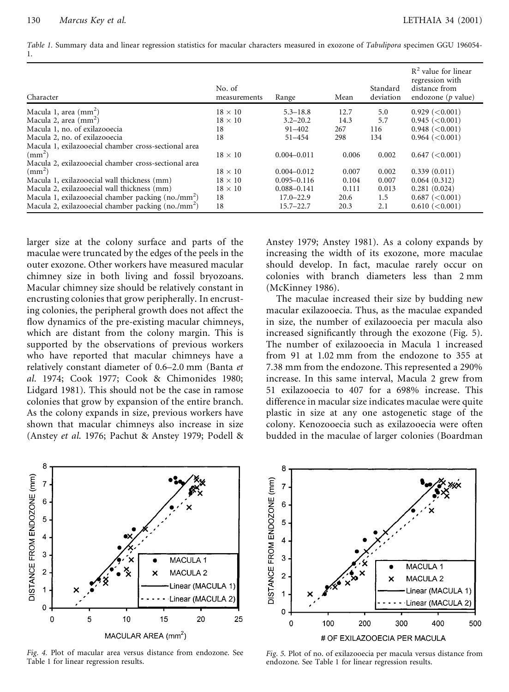*Table 1.* Summary data and linear regression statistics for macular characters measured in exozone of *Tabulipora* specimen GGU 196054- 1.

| Character                                            | No. of<br>measurements | Range           | Mean  | Standard<br>deviation | $R2$ value for linear<br>regression with<br>distance from<br>endozone ( $p$ value) |
|------------------------------------------------------|------------------------|-----------------|-------|-----------------------|------------------------------------------------------------------------------------|
| Macula 1, area $\text{(mm)}$                         | $18 \times 10$         | $5.3 - 18.8$    | 12.7  | 5.0                   | $0.929 \, (< 0.001)$                                                               |
| Macula 2, area $\text{(mm}^2)$                       | $18 \times 10$         | $3.2 - 20.2$    | 14.3  | 5.7                   | 0.945 (< 0.001)                                                                    |
| Macula 1, no. of exilazooecia                        | 18                     | $91 - 402$      | 267   | 116                   | 0.948 (< 0.001)                                                                    |
| Macula 2, no. of exilazooecia                        | 18                     | $51 - 454$      | 298   | 134                   | 0.964 (< 0.001)                                                                    |
| Macula 1, exilazooecial chamber cross-sectional area |                        |                 |       |                       |                                                                                    |
| $\rm (mm^2)$                                         | $18 \times 10$         | $0.004 - 0.011$ | 0.006 | 0.002                 | 0.647 (< 0.001)                                                                    |
| Macula 2, exilazooecial chamber cross-sectional area |                        |                 |       |                       |                                                                                    |
| $\rm (mm^2)$                                         | $18 \times 10$         | $0.004 - 0.012$ | 0.007 | 0.002                 | 0.339(0.011)                                                                       |
| Macula 1, exilazooecial wall thickness (mm)          | $18 \times 10$         | $0.095 - 0.116$ | 0.104 | 0.007                 | 0.064(0.312)                                                                       |
| Macula 2, exilazooecial wall thickness (mm)          | $18 \times 10$         | $0.088 - 0.141$ | 0.111 | 0.013                 | 0.281(0.024)                                                                       |
| Macula 1, exilazooecial chamber packing $(no./mm2)$  | 18                     | $17.0 - 22.9$   | 20.6  | 1.5                   | 0.687 (< 0.001)                                                                    |
| Macula 2, exilazooecial chamber packing $(no./mm^2)$ | 18                     | $15.7 - 22.7$   | 20.3  | 2.1                   | 0.610 (< 0.001)                                                                    |

larger size at the colony surface and parts of the maculae were truncated by the edges of the peels in the outer exozone. Other workers have measured macular chimney size in both living and fossil bryozoans. Macular chimney size should be relatively constant in encrusting colonies that grow peripherally. In encrusting colonies, the peripheral growth does not affect the flow dynamics of the pre-existing macular chimneys, which are distant from the colony margin. This is supported by the observations of previous workers who have reported that macular chimneys have a relatively constant diameter of 0.6–2.0 mm (Banta *et al*. 1974; Cook 1977; Cook & Chimonides 1980; Lidgard 1981). This should not be the case in ramose colonies that grow by expansion of the entire branch. As the colony expands in size, previous workers have shown that macular chimneys also increase in size (Anstey *et al*. 1976; Pachut & Anstey 1979; Podell & Anstey 1979; Anstey 1981). As a colony expands by increasing the width of its exozone, more maculae should develop. In fact, maculae rarely occur on colonies with branch diameters less than 2 mm (McKinney 1986).

The maculae increased their size by budding new macular exilazooecia. Thus, as the maculae expanded in size, the number of exilazooecia per macula also increased significantly through the exozone (Fig. 5). The number of exilazooecia in Macula 1 increased from 91 at 1.02 mm from the endozone to 355 at 7.38 mm from the endozone. This represented a 290% increase. In this same interval, Macula 2 grew from 51 exilazooecia to 407 for a 698% increase. This difference in macular size indicates maculae were quite plastic in size at any one astogenetic stage of the colony. Kenozooecia such as exilazooecia were often budded in the maculae of larger colonies (Boardman



*Fig. 4.* Plot of macular area versus distance from endozone. See Table 1 for linear regression results.



*Fig. 5.* Plot of no. of exilazooecia per macula versus distance from endozone. See Table 1 for linear regression results.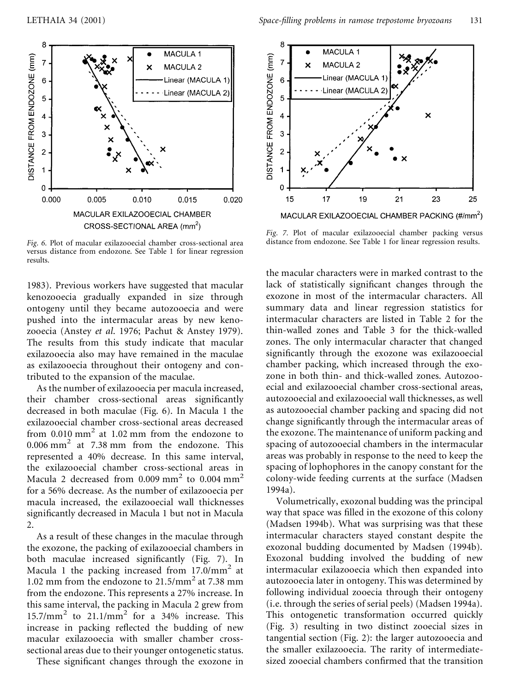

*Fig. 6.* Plot of macular exilazooecial chamber cross-sectional area versus distance from endozone. See Table 1 for linear regression results.

1983). Previous workers have suggested that macular kenozooecia gradually expanded in size through ontogeny until they became autozooecia and were pushed into the intermacular areas by new kenozooecia (Anstey *et al*. 1976; Pachut & Anstey 1979). The results from this study indicate that macular exilazooecia also may have remained in the maculae as exilazooecia throughout their ontogeny and contributed to the expansion of the maculae.

As the number of exilazooecia per macula increased, their chamber cross-sectional areas significantly decreased in both maculae (Fig. 6). In Macula 1 the exilazooecial chamber cross-sectional areas decreased from 0.010 mm <sup>2</sup> at 1.02 mm from the endozone to 0.006 mm <sup>2</sup> at 7.38 mm from the endozone. This represented a 40% decrease. In this same interval, the exilazooecial chamber cross-sectional areas in Macula 2 decreased from 0.009  $\text{mm}^2$  to 0.004  $\text{mm}^2$ for a 56% decrease. As the number of exilazooecia per macula increased, the exilazooecial wall thicknesses significantly decreased in Macula 1 but not in Macula 2.

As a result of these changes in the maculae through the exozone, the packing of exilazooecial chambers in both maculae increased significantly (Fig. 7). In Macula 1 the packing increased from  $17.0/\text{mm}^2$  at i<br>1.02 mm from the endozone to  $21.5/\text{mm}^2$  at 7.38 mm from the endozone. This represents a 27% increase. In this same interval, the packing in Macula 2 grew from  $15.7/\text{mm}^2$  to  $21.1/\text{mm}^2$  for a 34% increase. This increase in packing reflected the budding of new macular exilazooecia with smaller chamber crosssectional areas due to their younger ontogenetic status.

These significant changes through the exozone in



*Fig. 7.* Plot of macular exilazooecial chamber packing versus distance from endozone. See Table 1 for linear regression results.

the macular characters were in marked contrast to the lack of statistically significant changes through the exozone in most of the intermacular characters. All summary data and linear regression statistics for intermacular characters are listed in Table 2 for the thin-walled zones and Table 3 for the thick-walled zones. The only intermacular character that changed significantly through the exozone was exilazooecial chamber packing, which increased through the exozone in both thin- and thick-walled zones. Autozooecial and exilazooecial chamber cross-sectional areas, autozooecial and exilazooecial wall thicknesses, as well as autozooecial chamber packing and spacing did not change significantly through the intermacular areas of the exozone. The maintenance of uniform packing and spacing of autozooecial chambers in the intermacular areas was probably in response to the need to keep the spacing of lophophores in the canopy constant for the colony-wide feeding currents at the surface (Madsen 1994a).

Volumetrically, exozonal budding was the principal way that space was filled in the exozone of this colony (Madsen 1994b). What was surprising was that these intermacular characters stayed constant despite the exozonal budding documented by Madsen (1994b). Exozonal budding involved the budding of new intermacular exilazooecia which then expanded into autozooecia later in ontogeny. This was determined by following individual zooecia through their ontogeny (i.e. through the series of serial peels) (Madsen 1994a). This ontogenetic transformation occurred quickly (Fig. 3) resulting in two distinct zooecial sizes in tangential section (Fig. 2): the larger autozooecia and the smaller exilazooecia. The rarity of intermediatesized zooecial chambers confirmed that the transition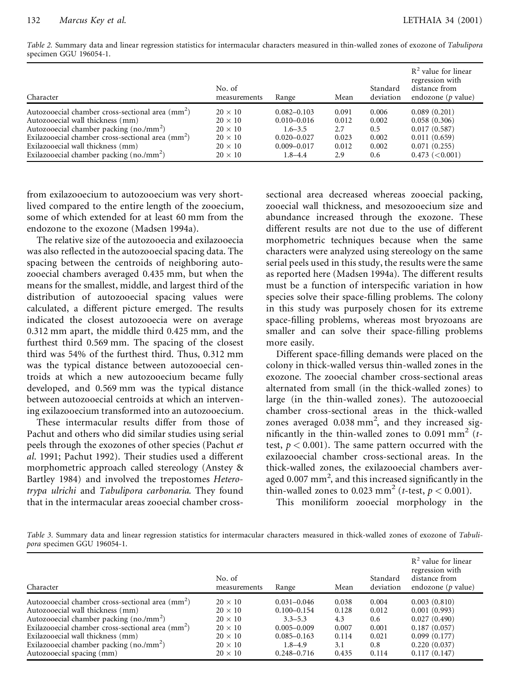*Table 2.* Summary data and linear regression statistics for intermacular characters measured in thin-walled zones of exozone of *Tabulipora* specimen GGU 196054-1.

| Character                                                     | No. of<br>measurements | Range           | Mean  | Standard<br>deviation | $R2$ value for linear<br>regression with<br>distance from<br>endozone ( $p$ value) |
|---------------------------------------------------------------|------------------------|-----------------|-------|-----------------------|------------------------------------------------------------------------------------|
| Autozooecial chamber cross-sectional area $\text{(mm}^2)$     | $20 \times 10$         | $0.082 - 0.103$ | 0.091 | 0.006                 | 0.089(0.201)                                                                       |
| Autozooecial wall thickness (mm)                              | $20 \times 10$         | $0.010 - 0.016$ | 0.012 | 0.002                 | 0.058(0.306)                                                                       |
| Autozooecial chamber packing (no./mm <sup>2</sup> )           | $20 \times 10$         | $1.6 - 3.5$     | 2.7   | 0.5                   | 0.017(0.587)                                                                       |
| Exilazooecial chamber cross-sectional area (mm <sup>2</sup> ) | $20 \times 10$         | $0.020 - 0.027$ | 0.023 | 0.002                 | 0.011(0.659)                                                                       |
| Exilazooecial wall thickness (mm)                             | $20 \times 10$         | $0.009 - 0.017$ | 0.012 | 0.002                 | 0.071(0.255)                                                                       |
| Exilazooecial chamber packing $(no./mm^2)$                    | $20 \times 10$         | $1.8 - 4.4$     | 2.9   | 0.6                   | 0.473 (< 0.001)                                                                    |

from exilazooecium to autozooecium was very shortlived compared to the entire length of the zooecium, some of which extended for at least 60 mm from the endozone to the exozone (Madsen 1994a).

The relative size of the autozooecia and exilazooecia was also reflected in the autozooecial spacing data. The spacing between the centroids of neighboring autozooecial chambers averaged 0.435 mm, but when the means for the smallest, middle, and largest third of the distribution of autozooecial spacing values were calculated, a different picture emerged. The results indicated the closest autozooecia were on average 0.312 mm apart, the middle third 0.425 mm, and the furthest third 0.569 mm. The spacing of the closest third was 54% of the furthest third. Thus, 0.312 mm was the typical distance between autozooecial centroids at which a new autozooecium became fully developed, and 0.569 mm was the typical distance between autozooecial centroids at which an intervening exilazooecium transformed into an autozooecium.

These intermacular results differ from those of Pachut and others who did similar studies using serial peels through the exozones of other species (Pachut *et al*. 1991; Pachut 1992). Their studies used a different morphometric approach called stereology (Anstey & Bartley 1984) and involved the trepostomes *Heterotrypa ulrichi* and *Tabulipora carbonaria*. They found that in the intermacular areas zooecial chamber cross-

sectional area decreased whereas zooecial packing, zooecial wall thickness, and mesozooecium size and abundance increased through the exozone. These different results are not due to the use of different morphometric techniques because when the same characters were analyzed using stereology on the same serial peels used in this study, the results were the same as reported here (Madsen 1994a). The different results must be a function of interspecific variation in how species solve their space-filling problems. The colony in this study was purposely chosen for its extreme space-filling problems, whereas most bryozoans are smaller and can solve their space-filling problems more easily.

Different space-filling demands were placed on the colony in thick-walled versus thin-walled zones in the exozone. The zooecial chamber cross-sectional areas alternated from small (in the thick-walled zones) to large (in the thin-walled zones). The autozooecial chamber cross-sectional areas in the thick-walled zones averaged  $0.038$  mm<sup>2</sup>, and they increased significantly in the thin-walled zones to  $0.091$  mm<sup>2</sup> (*t*test,  $p < 0.001$ ). The same pattern occurred with the exilazooecial chamber cross-sectional areas. In the thick-walled zones, the exilazooecial chambers averaged 0.007  $\text{mm}^2$ , and this increased significantly in the thin-walled zones to  $0.023$  mm<sup>2</sup> (*t*-test,  $p < 0.001$ ).

This moniliform zooecial morphology in the

*Table 3.* Summary data and linear regression statistics for intermacular characters measured in thick-walled zones of exozone of *Tabulipora* specimen GGU 196054-1.

| Character                                                    | No. of<br>measurements | Range           | Mean  | Standard<br>deviation | $R2$ value for linear<br>regression with<br>distance from<br>endozone ( $p$ value) |
|--------------------------------------------------------------|------------------------|-----------------|-------|-----------------------|------------------------------------------------------------------------------------|
| Autozooecial chamber cross-sectional area (mm <sup>2</sup> ) | $20 \times 10$         | $0.031 - 0.046$ | 0.038 | 0.004                 | 0.003(0.810)                                                                       |
| Autozooecial wall thickness (mm)                             | $20 \times 10$         | $0.100 - 0.154$ | 0.128 | 0.012                 | 0.001(0.993)                                                                       |
| Autozooecial chamber packing $(no./mm^2)$                    | $20 \times 10$         | $3.3 - 5.3$     | 4.3   | 0.6                   | 0.027(0.490)                                                                       |
| Exilazooecial chamber cross-sectional area $\text{(mm)}^2$ ) | $20 \times 10$         | $0.005 - 0.009$ | 0.007 | 0.001                 | 0.187(0.057)                                                                       |
| Exilazooecial wall thickness (mm)                            | $20 \times 10$         | $0.085 - 0.163$ | 0.114 | 0.021                 | 0.099(0.177)                                                                       |
| Exilazooecial chamber packing $(no./mm^2)$                   | $20 \times 10$         | $1.8 - 4.9$     | 3.1   | 0.8                   | 0.220(0.037)                                                                       |
| Autozooecial spacing (mm)                                    | $20 \times 10$         | $0.248 - 0.716$ | 0.435 | 0.114                 | 0.117(0.147)                                                                       |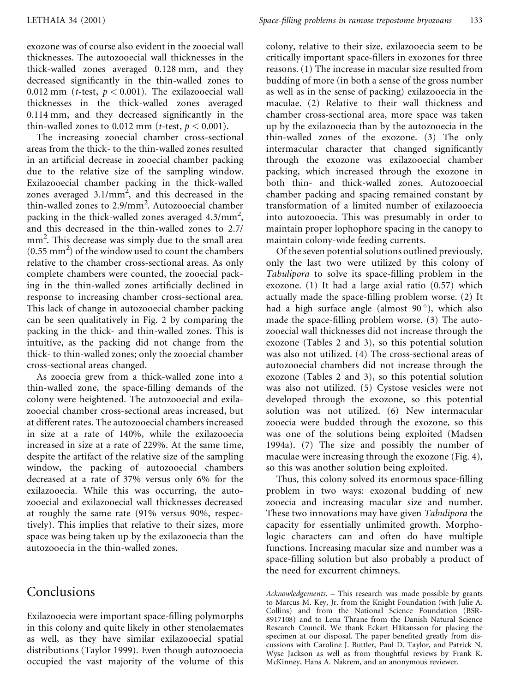exozone was of course also evident in the zooecial wall thicknesses. The autozooecial wall thicknesses in the thick-walled zones averaged 0.128 mm, and they decreased significantly in the thin-walled zones to 0.012 mm (*t*-test, *p* < 0.001). The exilazooecial wall thicknesses in the thick-walled zones averaged  $0.114$  mm, and they decreased significantly in the thin-walled zones to 0.012 mm (*t*-test,  $p < 0.001$ ).

The increasing zooecial chamber cross-sectional areas from the thick- to the thin-walled zones resulted in an artificial decrease in zooecial chamber packing due to the relative size of the sampling window. Exilazooecial chamber packing in the thick-walled zones averaged  $3.1/\text{mm}^2$ , and this decreased in the thin-walled zones to 2.9/mm<sup>2</sup> . Autozooecial chamber packing in the thick-walled zones averaged 4.3/mm<sup>2</sup>, and this decreased in the thin-walled zones to 2.7/ mm<sup>2</sup> . This decrease was simply due to the small area (0.55 mm <sup>2</sup>) of the window used to count the chambers relative to the chamber cross-sectional areas. As only complete chambers were counted, the zooecial packing in the thin-walled zones artificially declined in response to increasing chamber cross-sectional area. This lack of change in autozooecial chamber packing can be seen qualitatively in Fig. 2 by comparing the packing in the thick- and thin-walled zones. This is intuitive, as the packing did not change from the thick- to thin-walled zones; only the zooecial chamber cross-sectional areas changed.

As zooecia grew from a thick-walled zone into a thin-walled zone, the space-filling demands of the colony were heightened. The autozooecial and exilazooecial chamber cross-sectional areas increased, but at different rates. The autozooecial chambers increased in size at a rate of 140%, while the exilazooecia increased in size at a rate of 229%. At the same time, despite the artifact of the relative size of the sampling window, the packing of autozooecial chambers decreased at a rate of 37% versus only 6% for the exilazooecia. While this was occurring, the autozooecial and exilazooecial wall thicknesses decreased at roughly the same rate (91% versus 90%, respectively). This implies that relative to their sizes, more space was being taken up by the exilazooecia than the autozooecia in the thin-walled zones.

## Conclusions

Exilazooecia were important space-filling polymorphs in this colony and quite likely in other stenolaemates as well, as they have similar exilazooecial spatial distributions (Taylor 1999). Even though autozooecia occupied the vast majority of the volume of this colony, relative to their size, exilazooecia seem to be critically important space-fillers in exozones for three reasons. (1) The increase in macular size resulted from budding of more (in both a sense of the gross number as well as in the sense of packing) exilazooecia in the maculae. (2) Relative to their wall thickness and chamber cross-sectional area, more space was taken up by the exilazooecia than by the autozooecia in the thin-walled zones of the exozone. (3) The only intermacular character that changed significantly through the exozone was exilazooecial chamber packing, which increased through the exozone in both thin- and thick-walled zones. Autozooecial chamber packing and spacing remained constant by transformation of a limited number of exilazooecia into autozooecia. This was presumably in order to maintain proper lophophore spacing in the canopy to maintain colony-wide feeding currents.

Of the seven potential solutions outlined previously, only the last two were utilized by this colony of Tabulipora to solve its space-filling problem in the exozone. (1) It had a large axial ratio (0.57) which actually made the space-filling problem worse.  $(2)$  It had a high surface angle (almost 90°), which also made the space-filling problem worse.  $(3)$  The autozooecial wall thicknesses did not increase through the exozone (Tables 2 and 3), so this potential solution was also not utilized. (4) The cross-sectional areas of autozooecial chambers did not increase through the exozone (Tables 2 and 3), so this potential solution was also not utilized. (5) Cystose vesicles were not developed through the exozone, so this potential solution was not utilized. (6) New intermacular zooecia were budded through the exozone, so this was one of the solutions being exploited (Madsen 1994a). (7) The size and possibly the number of maculae were increasing through the exozone (Fig. 4), so this was another solution being exploited.

Thus, this colony solved its enormous space-filling problem in two ways: exozonal budding of new zooecia and increasing macular size and number. These two innovations may have given *Tabulipora* the capacity for essentially unlimited growth. Morphologic characters can and often do have multiple functions. Increasing macular size and number was a space-filling solution but also probably a product of the need for excurrent chimneys.

*Acknowledgements. –* This research was made possible by grants to Marcus M. Key, Jr. from the Knight Foundation (with Julie A. Collins) and from the National Science Foundation (BSR-8917108) and to Lena Thrane from the Danish Natural Science Research Council. We thank Eckart Håkansson for placing the specimen at our disposal. The paper benefited greatly from discussions with Caroline J. Buttler, Paul D. Taylor, and Patrick N. Wyse Jackson as well as from thoughtful reviews by Frank K. McKinney, Hans A. Nakrem, and an anonymous reviewer.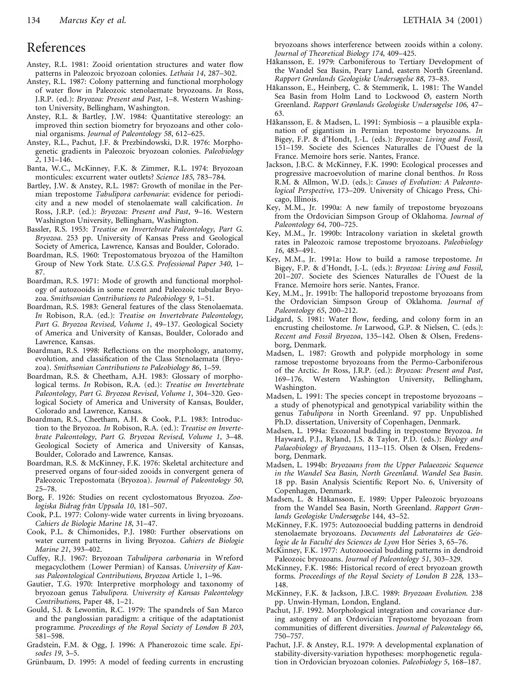#### References

- Anstey, R.L. 1981: Zooid orientation structures and water flow patterns in Paleozoic bryozoan colonies. *Lethaia 14*, 287–302.
- Anstey, R.L. 1987: Colony patterning and functional morphology of water flow in Paleozoic stenolaemate bryozoans. *In* Ross, J.R.P. (ed.): *Bryozoa: Present and Past*, 1–8. Western Washington University, Bellingham, Washington.
- Anstey, R.L. & Bartley, J.W. 1984: Quantitative stereology: an improved thin section biometry for bryozoans and other colonial organisms. *Journal of Paleontology 58*, 612–625.
- Anstey, R.L., Pachut, J.F. & Prezbindowski, D.R. 1976: Morphogenetic gradients in Paleozoic bryozoan colonies. *Paleobiology 2*, 131–146.
- Banta, W.C., McKinney, F.K. & Zimmer, R.L. 1974: Bryozoan monticules: excurrent water outlets? *Science 185*, 783–784.
- Bartley, J.W. & Anstey, R.L. 1987: Growth of monilae in the Permian trepostome *Tabulipora carbonaria*: evidence for periodicity and a new model of stenolaemate wall calcification. *In* Ross, J.R.P. (ed.): *Bryozoa: Present and Past*, 9–16. Western Washington University, Bellingham, Washington.
- Bassler, R.S. 1953: *Treatise on Invertebrate Paleontology, Part G. Bryozoa*. 253 pp. University of Kansas Press and Geological Society of America, Lawrence, Kansas and Boulder, Colorado.
- Boardman, R.S. 1960: Trepostomatous bryozoa of the Hamilton Group of New York State. *U.S.G.S. Professional Paper 340*, 1– 87.
- Boardman, R.S. 1971: Mode of growth and functional morphology of autozooids in some recent and Paleozoic tubular Bryo zoa. *Smithsonian Contributions to Paleobiology 9*, 1–51.
- Boardman, R.S. 1983: General features of the class Stenolaemata. *In* Robison, R.A. (ed.): *Treatise on Invertebrate Paleontology, Part G. Bryozoa Revised, Volume 1*, 49–137. Geological Society of America and University of Kansas, Boulder, Colorado and Lawrence, Kansas.
- Boardman, R.S. 1998: Reflections on the morphology, anatomy, evolution, and classification of the Class Stenolaemata (Bryozoa). *Smithsonian Contributions to Paleobiology 86*, 1–59.
- Boardman, R.S. & Cheetham, A.H. 1983: Glossary of morphological terms. *In* Robison, R.A. (ed.): *Treatise on Invertebrate Paleontology, Part G. Bryozoa Revised, Volume 1*, 304–320. Geological Society of America and University of Kansas, Boulder, Colorado and Lawrence, Kansas.
- Boardman, R.S., Cheetham, A.H. & Cook, P.L. 1983: Introduction to the Bryozoa. *In* Robison, R.A. (ed.): *Treatise on Invertebrate Paleontology, Part G. Bryozoa Revised, Volume 1*, 3–48. Geological Society of America and University of Kansas, Boulder, Colorado and Lawrence, Kansas.
- Boardman, R.S. & McKinney, F.K. 1976: Skeletal architecture and preserved organs of four-sided zooids in convergent genera of Paleozoic Trepostomata (Bryozoa). *Journal of Paleontology 50*, 25–78.
- Borg, F. 1926: Studies on recent cyclostomatous Bryozoa. *Zoologiska Bidrag fra°n Uppsala 10*, 181–507.
- Cook, P.L. 1977: Colony-wide water currents in living bryozoans. *Cahiers de Biologie Marine 18*, 31–47.
- Cook, P.L. & Chimonides, P.J. 1980: Further observations on water current patterns in living Bryozoa. *Cahiers de Biologie Marine 21*, 393–402.
- Cuffey, R.J. 1967: Bryozoan *Tabulipora carbonaria* in Wreford megacyclothem (Lower Permian) of Kansas. *University of Kansas Paleontological Contributions, Bryozoa* Article 1, 1–96.
- Gautier, T.G. 1970: Interpretive morphology and taxonomy of bryozoan genus *Tabulipora. University of Kansas Paleontology Contributions*, Paper 48, 1–21.
- Gould, S.J. & Lewontin, R.C. 1979: The spandrels of San Marco and the panglossian paradigm: a critique of the adaptationist programme. *Proceedings of the Royal Society of London B 203*, 581–598.
- Gradstein, F.M. & Ogg, J. 1996: A Phanerozoic time scale. *Episodes 19*, 3–5.
- Grünbaum, D. 1995: A model of feeding currents in encrusting

bryozoans shows interference between zooids within a colony. *Journal of Theoretical Biology 174*, 409–425.

- Hakansson, E. 1979: Carboniferous to Tertiary Development of the Wandel Sea Basin, Peary Land, eastern North Greenland. *Rapport Grønlands Geologiske Undersøgelse 88*, 73–83.
- Håkansson, E., Heinberg, C. & Stemmerik, L. 1981: The Wandel Sea Basin from Holm Land to Lockwood Ø, eastern North Greenland. *Rapport Grønlands Geologiske Undersøgelse 106*, 47– 63.
- Håkansson, E. & Madsen, L. 1991: Symbiosis a plausible explanation of gigantism in Permian trepostome bryozoans. *In* Bigey, F.P. & d'Hondt, J.-L. (eds.): *Bryozoa: Living and Fossil*, 151–159. Societe des Sciences Naturalles de l'Ouest de la France. Memoire hors serie. Nantes, France.
- Jackson, J.B.C. & McKinney, F.K. 1990: Ecological processes and progressive macroevolution of marine clonal benthos. *In* Ross R.M. & Allmon, W.D. (eds.): *Causes of Evolution: A Paleontological Perspective*, 173–209. University of Chicago Press, Chicago, Illinois.
- Key, M.M., Jr. 1990a: A new family of trepostome bryozoans from the Ordovician Simpson Group of Oklahoma. *Journal of Paleontology 64*, 700–725.
- Key, M.M., Jr. 1990b: Intracolony variation in skeletal growth rates in Paleozoic ramose trepostome bryozoans. *Paleobiology 16*, 483–491.
- Key, M.M., Jr. 1991a: How to build a ramose trepostome. *In* Bigey, F.P. & d'Hondt, J.-L. (eds.): *Bryozoa: Living and Fossil*, 201–207. Societe des Sciences Naturalles de l'Ouest de la France. Memoire hors serie. Nantes, France.
- Key, M.M., Jr. 1991b: The halloporid trepostome bryozoans from the Ordovician Simpson Group of Oklahoma. *Journal of Paleontology 65*, 200–212.
- Lidgard, S. 1981: Water flow, feeding, and colony form in an encrusting cheilostome. *In* Larwood, G.P. & Nielsen, C. (eds.): *Recent and Fossil Bryozoa*, 135–142. Olsen & Olsen, Fredensborg, Denmark.
- Madsen, L. 1987: Growth and polypide morphology in some ramose trepostome bryozoans from the Permo-Carboniferous of the Arctic. *In* Ross, J.R.P. (ed.): *Bryozoa: Present and Past*, 169–176. Western Washington University, Bellingham, Washington.
- Madsen, L. 1991: The species concept in trepostome bryozoans a study of phenotypical and genotypical variability within the genus *Tabulipora* in North Greenland. 97 pp. Unpublished Ph.D. dissertation, University of Copenhagen, Denmark.
- Madsen, L. 1994a: Exozonal budding in trepostome Bryozoa. *In* Hayward, P.J., Ryland, J.S. & Taylor, P.D. (eds.): *Biology and Palaeobiology of Bryozoans*, 113–115. Olsen & Olsen, Fredensborg, Denmark.
- Madsen, L. 1994b: *Bryozoans from the Upper Palaeozoic Sequence in the Wandel Sea Basin, North Greenland. Wandel Sea Basin*. 18 pp. Basin Analysis Scientific Report No. 6, University of Copenhagen, Denmark.
- Madsen, L. & Håkansson, E. 1989: Upper Paleozoic bryozoans from the Wandel Sea Basin, North Greenland. *Rapport Grønlands Geologiske Undersøgelse* 144, 43–52.
- McKinney, F.K. 1975: Autozooecial budding patterns in dendroid stenolaemate bryozoans. *Documents del Laboratoires de Ge´ologie de la Faculte´ des Sciences de Lyon* Hor Se´ries 3, 65–76.
- McKinney, F.K. 1977: Autozooecial budding patterns in dendroid Paleozoic bryozoans. *Journal of Paleontology 51*, 303–329.
- McKinney, F.K. 1986: Historical record of erect bryozoan growth forms. *Proceedings of the Royal Society of London B 228*, 133– 148.
- McKinney, F.K. & Jackson, J.B.C. 1989: *Bryozoan Evolution*. 238 pp. Unwin-Hyman, London, England.
- Pachut, J.F. 1992. Morphological integration and covariance during astogeny of an Ordovician Trepostome bryozoan from communities of different diversities. *Journal of Paleontology 66*, 750–757.
- Pachut, J.F. & Anstey, R.L. 1979: A developmental explanation of stability-diversity-variation hypotheses: morphogenetic regulation in Ordovician bryozoan colonies. *Paleobiology 5*, 168–187.